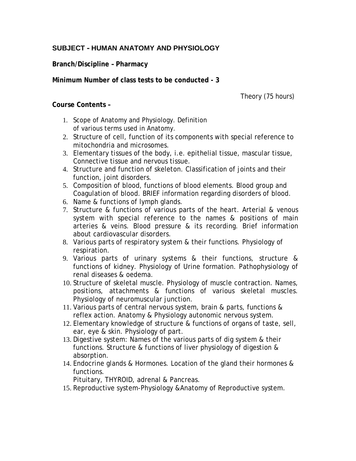## **SUBJECT – HUMAN ANATOMY AND PHYSIOLOGY**

**Branch/Discipline – Pharmacy**

**Minimum Number of class tests to be conducted - 3**

Theory (75 hours)

## **Course Contents –**

- 1. Scope of Anatomy and Physiology. Definition of various terms used in Anatomy.
- 2. Structure of cell, function of its components with special reference to mitochondria and microsomes.
- 3. Elementary tissues of the body, i.e. epithelial tissue, mascular tissue, Connective tissue and nervous tissue.
- 4. Structure and function of skeleton. Classification of joints and their function, joint disorders.
- 5. Composition of blood, functions of blood elements. Blood group and Coagulation of blood. BRIEF information regarding disorders of blood.
- 6. Name & functions of lymph glands.
- 7. Structure & functions of various parts of the heart. Arterial & venous system with special reference to the names & positions of main arteries & veins. Blood pressure & its recording. Brief information about cardiovascular disorders.
- 8. Various parts of respiratory system & their functions. Physiology of respiration.
- 9. Various parts of urinary systems & their functions, structure & functions of kidney. Physiology of Urine formation. Pathophysiology of renal diseases & oedema.
- 10. Structure of skeletal muscle. Physiology of muscle contraction. Names, positions, attachments & functions of various skeletal muscles. Physiology of neuromuscular junction.
- 11. Various parts of central nervous system, brain & parts, functions & reflex action. Anatomy & Physiology autonomic nervous system.
- 12. Elementary knowledge of structure & functions of organs of taste, sell, ear, eye & skin. Physiology of part.
- 13. Digestive system: Names of the various parts of dig system & their functions. Structure & functions of liver physiology of digestion & absorption.
- 14. Endocrine glands & Hormones. Location of the gland their hormones & functions.

Pituitary, THYROID, adrenal & Pancreas.

15. Reproductive system-Physiology &Anatomy of Reproductive system.